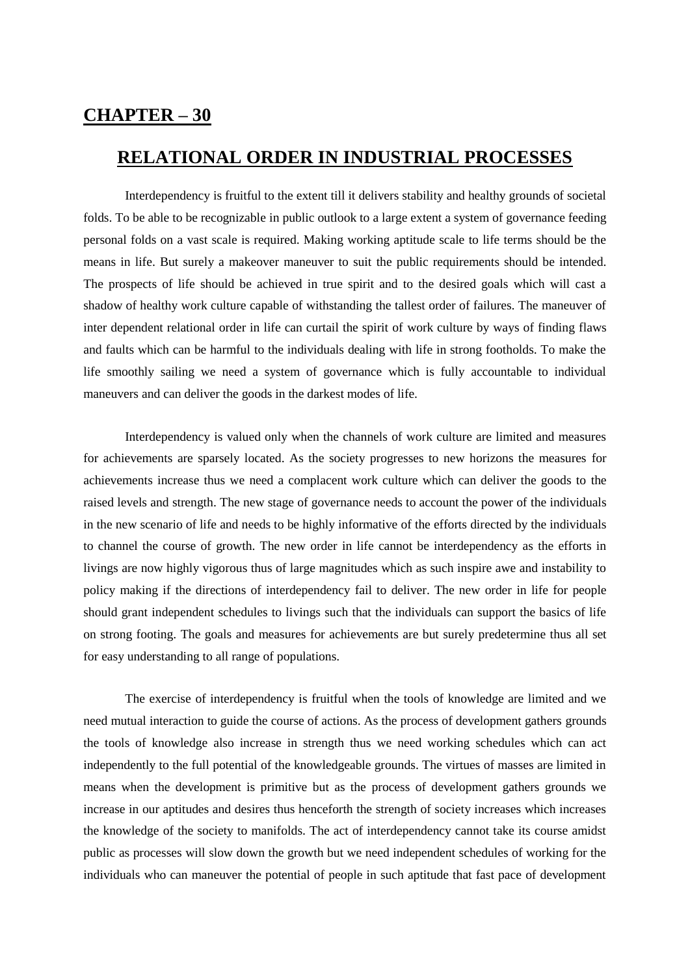## **CHAPTER – 30**

## **RELATIONAL ORDER IN INDUSTRIAL PROCESSES**

Interdependency is fruitful to the extent till it delivers stability and healthy grounds of societal folds. To be able to be recognizable in public outlook to a large extent a system of governance feeding personal folds on a vast scale is required. Making working aptitude scale to life terms should be the means in life. But surely a makeover maneuver to suit the public requirements should be intended. The prospects of life should be achieved in true spirit and to the desired goals which will cast a shadow of healthy work culture capable of withstanding the tallest order of failures. The maneuver of inter dependent relational order in life can curtail the spirit of work culture by ways of finding flaws and faults which can be harmful to the individuals dealing with life in strong footholds. To make the life smoothly sailing we need a system of governance which is fully accountable to individual maneuvers and can deliver the goods in the darkest modes of life.

Interdependency is valued only when the channels of work culture are limited and measures for achievements are sparsely located. As the society progresses to new horizons the measures for achievements increase thus we need a complacent work culture which can deliver the goods to the raised levels and strength. The new stage of governance needs to account the power of the individuals in the new scenario of life and needs to be highly informative of the efforts directed by the individuals to channel the course of growth. The new order in life cannot be interdependency as the efforts in livings are now highly vigorous thus of large magnitudes which as such inspire awe and instability to policy making if the directions of interdependency fail to deliver. The new order in life for people should grant independent schedules to livings such that the individuals can support the basics of life on strong footing. The goals and measures for achievements are but surely predetermine thus all set for easy understanding to all range of populations.

The exercise of interdependency is fruitful when the tools of knowledge are limited and we need mutual interaction to guide the course of actions. As the process of development gathers grounds the tools of knowledge also increase in strength thus we need working schedules which can act independently to the full potential of the knowledgeable grounds. The virtues of masses are limited in means when the development is primitive but as the process of development gathers grounds we increase in our aptitudes and desires thus henceforth the strength of society increases which increases the knowledge of the society to manifolds. The act of interdependency cannot take its course amidst public as processes will slow down the growth but we need independent schedules of working for the individuals who can maneuver the potential of people in such aptitude that fast pace of development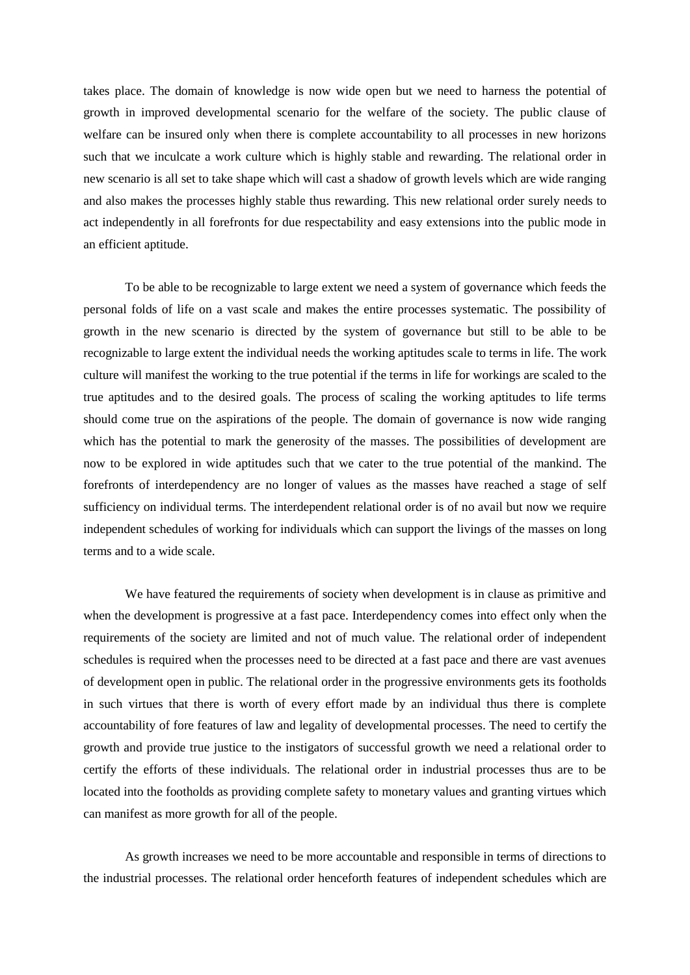takes place. The domain of knowledge is now wide open but we need to harness the potential of growth in improved developmental scenario for the welfare of the society. The public clause of welfare can be insured only when there is complete accountability to all processes in new horizons such that we inculcate a work culture which is highly stable and rewarding. The relational order in new scenario is all set to take shape which will cast a shadow of growth levels which are wide ranging and also makes the processes highly stable thus rewarding. This new relational order surely needs to act independently in all forefronts for due respectability and easy extensions into the public mode in an efficient aptitude.

To be able to be recognizable to large extent we need a system of governance which feeds the personal folds of life on a vast scale and makes the entire processes systematic. The possibility of growth in the new scenario is directed by the system of governance but still to be able to be recognizable to large extent the individual needs the working aptitudes scale to terms in life. The work culture will manifest the working to the true potential if the terms in life for workings are scaled to the true aptitudes and to the desired goals. The process of scaling the working aptitudes to life terms should come true on the aspirations of the people. The domain of governance is now wide ranging which has the potential to mark the generosity of the masses. The possibilities of development are now to be explored in wide aptitudes such that we cater to the true potential of the mankind. The forefronts of interdependency are no longer of values as the masses have reached a stage of self sufficiency on individual terms. The interdependent relational order is of no avail but now we require independent schedules of working for individuals which can support the livings of the masses on long terms and to a wide scale.

We have featured the requirements of society when development is in clause as primitive and when the development is progressive at a fast pace. Interdependency comes into effect only when the requirements of the society are limited and not of much value. The relational order of independent schedules is required when the processes need to be directed at a fast pace and there are vast avenues of development open in public. The relational order in the progressive environments gets its footholds in such virtues that there is worth of every effort made by an individual thus there is complete accountability of fore features of law and legality of developmental processes. The need to certify the growth and provide true justice to the instigators of successful growth we need a relational order to certify the efforts of these individuals. The relational order in industrial processes thus are to be located into the footholds as providing complete safety to monetary values and granting virtues which can manifest as more growth for all of the people.

As growth increases we need to be more accountable and responsible in terms of directions to the industrial processes. The relational order henceforth features of independent schedules which are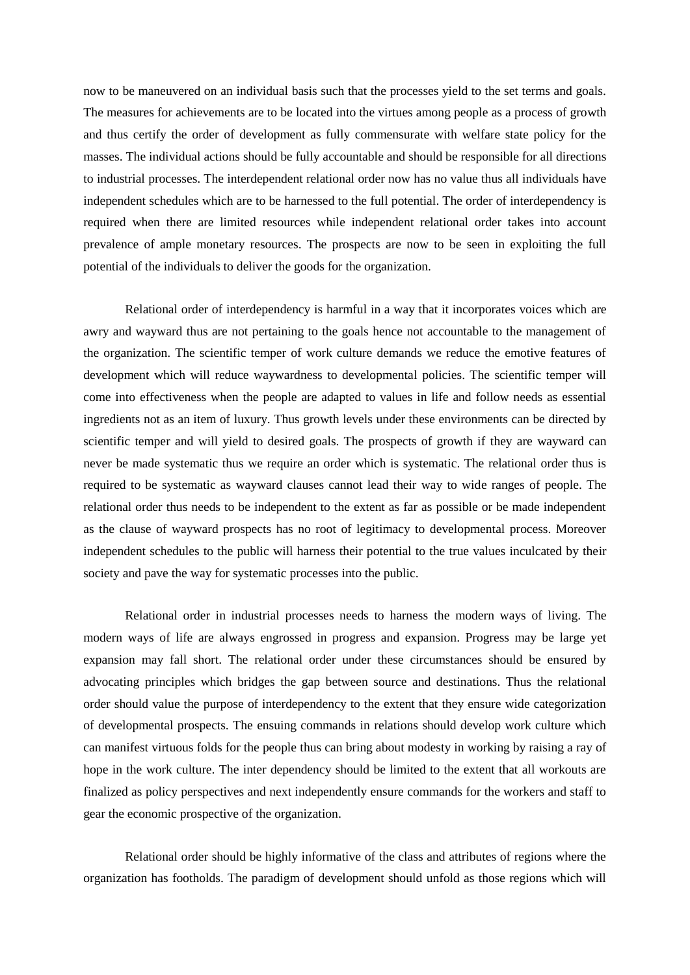now to be maneuvered on an individual basis such that the processes yield to the set terms and goals. The measures for achievements are to be located into the virtues among people as a process of growth and thus certify the order of development as fully commensurate with welfare state policy for the masses. The individual actions should be fully accountable and should be responsible for all directions to industrial processes. The interdependent relational order now has no value thus all individuals have independent schedules which are to be harnessed to the full potential. The order of interdependency is required when there are limited resources while independent relational order takes into account prevalence of ample monetary resources. The prospects are now to be seen in exploiting the full potential of the individuals to deliver the goods for the organization.

Relational order of interdependency is harmful in a way that it incorporates voices which are awry and wayward thus are not pertaining to the goals hence not accountable to the management of the organization. The scientific temper of work culture demands we reduce the emotive features of development which will reduce waywardness to developmental policies. The scientific temper will come into effectiveness when the people are adapted to values in life and follow needs as essential ingredients not as an item of luxury. Thus growth levels under these environments can be directed by scientific temper and will yield to desired goals. The prospects of growth if they are wayward can never be made systematic thus we require an order which is systematic. The relational order thus is required to be systematic as wayward clauses cannot lead their way to wide ranges of people. The relational order thus needs to be independent to the extent as far as possible or be made independent as the clause of wayward prospects has no root of legitimacy to developmental process. Moreover independent schedules to the public will harness their potential to the true values inculcated by their society and pave the way for systematic processes into the public.

Relational order in industrial processes needs to harness the modern ways of living. The modern ways of life are always engrossed in progress and expansion. Progress may be large yet expansion may fall short. The relational order under these circumstances should be ensured by advocating principles which bridges the gap between source and destinations. Thus the relational order should value the purpose of interdependency to the extent that they ensure wide categorization of developmental prospects. The ensuing commands in relations should develop work culture which can manifest virtuous folds for the people thus can bring about modesty in working by raising a ray of hope in the work culture. The inter dependency should be limited to the extent that all workouts are finalized as policy perspectives and next independently ensure commands for the workers and staff to gear the economic prospective of the organization.

Relational order should be highly informative of the class and attributes of regions where the organization has footholds. The paradigm of development should unfold as those regions which will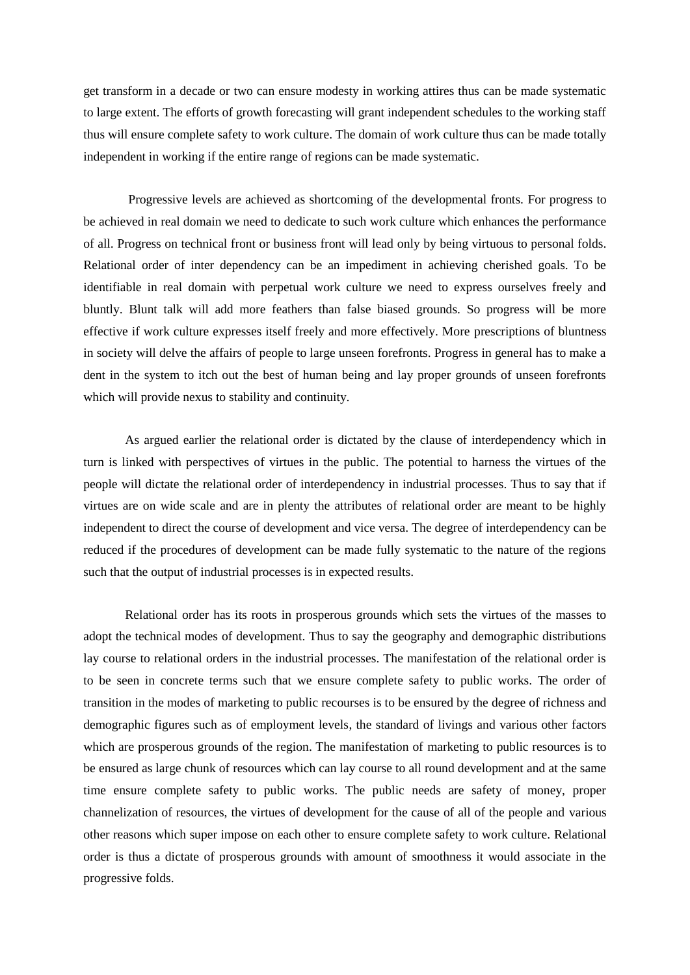get transform in a decade or two can ensure modesty in working attires thus can be made systematic to large extent. The efforts of growth forecasting will grant independent schedules to the working staff thus will ensure complete safety to work culture. The domain of work culture thus can be made totally independent in working if the entire range of regions can be made systematic.

Progressive levels are achieved as shortcoming of the developmental fronts. For progress to be achieved in real domain we need to dedicate to such work culture which enhances the performance of all. Progress on technical front or business front will lead only by being virtuous to personal folds. Relational order of inter dependency can be an impediment in achieving cherished goals. To be identifiable in real domain with perpetual work culture we need to express ourselves freely and bluntly. Blunt talk will add more feathers than false biased grounds. So progress will be more effective if work culture expresses itself freely and more effectively. More prescriptions of bluntness in society will delve the affairs of people to large unseen forefronts. Progress in general has to make a dent in the system to itch out the best of human being and lay proper grounds of unseen forefronts which will provide nexus to stability and continuity.

As argued earlier the relational order is dictated by the clause of interdependency which in turn is linked with perspectives of virtues in the public. The potential to harness the virtues of the people will dictate the relational order of interdependency in industrial processes. Thus to say that if virtues are on wide scale and are in plenty the attributes of relational order are meant to be highly independent to direct the course of development and vice versa. The degree of interdependency can be reduced if the procedures of development can be made fully systematic to the nature of the regions such that the output of industrial processes is in expected results.

Relational order has its roots in prosperous grounds which sets the virtues of the masses to adopt the technical modes of development. Thus to say the geography and demographic distributions lay course to relational orders in the industrial processes. The manifestation of the relational order is to be seen in concrete terms such that we ensure complete safety to public works. The order of transition in the modes of marketing to public recourses is to be ensured by the degree of richness and demographic figures such as of employment levels, the standard of livings and various other factors which are prosperous grounds of the region. The manifestation of marketing to public resources is to be ensured as large chunk of resources which can lay course to all round development and at the same time ensure complete safety to public works. The public needs are safety of money, proper channelization of resources, the virtues of development for the cause of all of the people and various other reasons which super impose on each other to ensure complete safety to work culture. Relational order is thus a dictate of prosperous grounds with amount of smoothness it would associate in the progressive folds.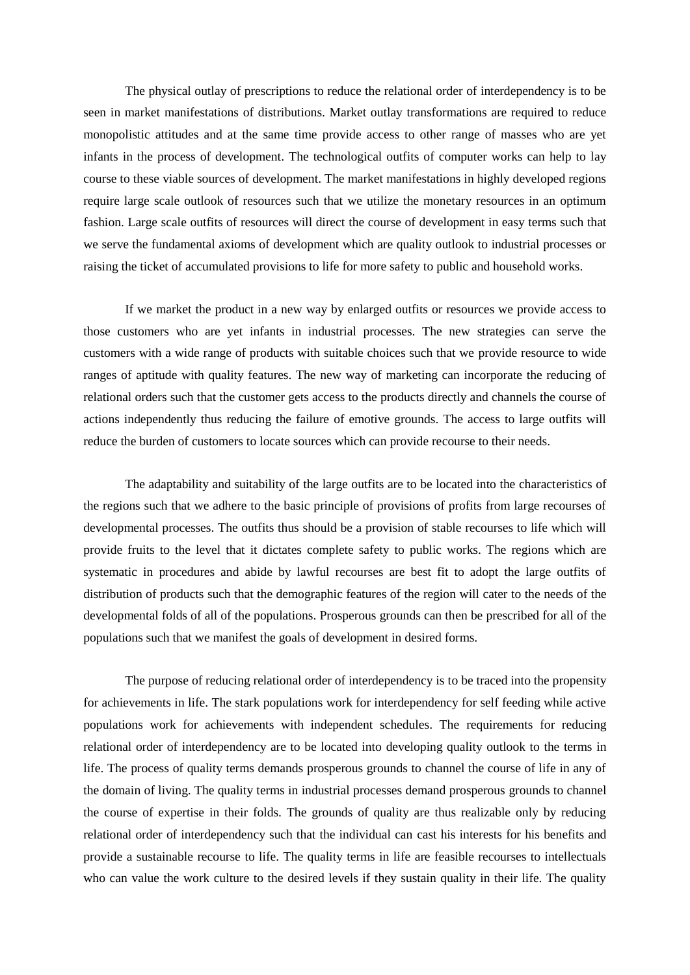The physical outlay of prescriptions to reduce the relational order of interdependency is to be seen in market manifestations of distributions. Market outlay transformations are required to reduce monopolistic attitudes and at the same time provide access to other range of masses who are yet infants in the process of development. The technological outfits of computer works can help to lay course to these viable sources of development. The market manifestations in highly developed regions require large scale outlook of resources such that we utilize the monetary resources in an optimum fashion. Large scale outfits of resources will direct the course of development in easy terms such that we serve the fundamental axioms of development which are quality outlook to industrial processes or raising the ticket of accumulated provisions to life for more safety to public and household works.

If we market the product in a new way by enlarged outfits or resources we provide access to those customers who are yet infants in industrial processes. The new strategies can serve the customers with a wide range of products with suitable choices such that we provide resource to wide ranges of aptitude with quality features. The new way of marketing can incorporate the reducing of relational orders such that the customer gets access to the products directly and channels the course of actions independently thus reducing the failure of emotive grounds. The access to large outfits will reduce the burden of customers to locate sources which can provide recourse to their needs.

The adaptability and suitability of the large outfits are to be located into the characteristics of the regions such that we adhere to the basic principle of provisions of profits from large recourses of developmental processes. The outfits thus should be a provision of stable recourses to life which will provide fruits to the level that it dictates complete safety to public works. The regions which are systematic in procedures and abide by lawful recourses are best fit to adopt the large outfits of distribution of products such that the demographic features of the region will cater to the needs of the developmental folds of all of the populations. Prosperous grounds can then be prescribed for all of the populations such that we manifest the goals of development in desired forms.

The purpose of reducing relational order of interdependency is to be traced into the propensity for achievements in life. The stark populations work for interdependency for self feeding while active populations work for achievements with independent schedules. The requirements for reducing relational order of interdependency are to be located into developing quality outlook to the terms in life. The process of quality terms demands prosperous grounds to channel the course of life in any of the domain of living. The quality terms in industrial processes demand prosperous grounds to channel the course of expertise in their folds. The grounds of quality are thus realizable only by reducing relational order of interdependency such that the individual can cast his interests for his benefits and provide a sustainable recourse to life. The quality terms in life are feasible recourses to intellectuals who can value the work culture to the desired levels if they sustain quality in their life. The quality